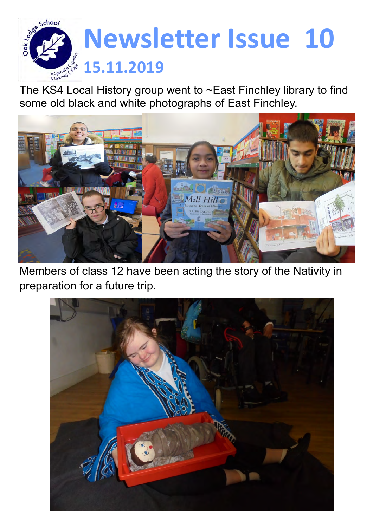

The KS4 Local History group went to ~East Finchley library to find some old black and white photographs of East Finchley.



Members of class 12 have been acting the story of the Nativity in preparation for a future trip.

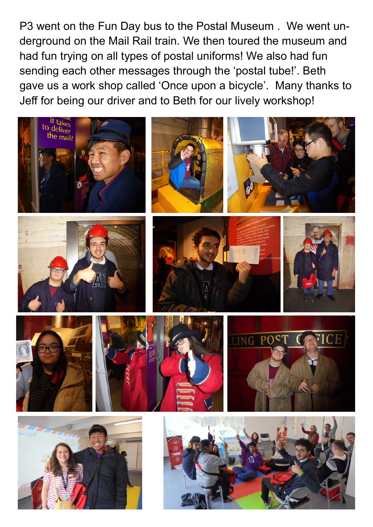P3 went on the Fun Day bus to the Postal Museum . We went underground on the Mail Rail train. We then toured the museum and had fun trying on all types of postal uniforms! We also had fun sending each other messages through the 'postal tube!'. Beth gave us a work shop called 'Once upon a bicycle'. Many thanks to Jeff for being our driver and to Beth for our lively workshop!

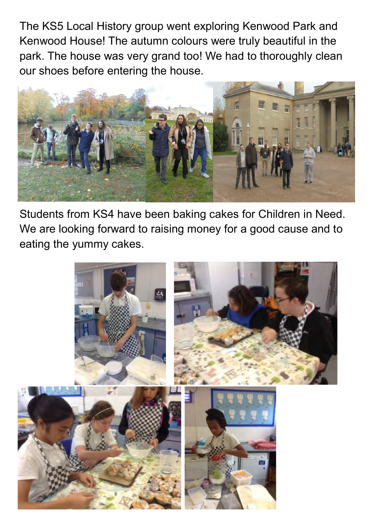The KS5 Local History group went exploring Kenwood Park and Kenwood House! The autumn colours were truly beautiful in the park. The house was very grand too! We had to thoroughly clean our shoes before entering the house.



Students from KS4 have been baking cakes for Children in Need. We are looking forward to raising money for a good cause and to eating the yummy cakes.